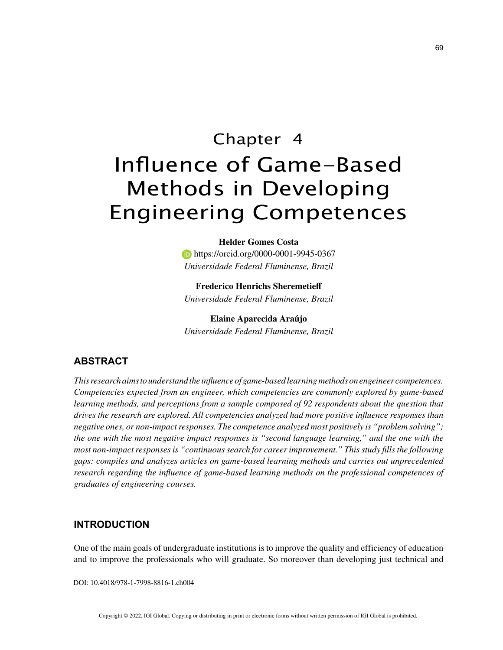# Chapter 4 Influence of Game-Based Methods in Developing Engineering Competences

**Helder Gomes Costa https://orcid.org/0000-0001-9945-0367** *Universidade Federal Fluminense, Brazil*

**Frederico Henrichs Sheremetieff** *Universidade Federal Fluminense, Brazil*

**Elaine Aparecida Araújo** *Universidade Federal Fluminense, Brazil*

# **ABSTRACT**

*This research aims to understand the influence of game-based learning methods on engeineer competences. Competencies expected from an engineer, which competencies are commonly explored by game-based learning methods, and perceptions from a sample composed of 92 respondents about the question that drives the research are explored. All competencies analyzed had more positive influence responses than negative ones, or non-impact responses. The competence analyzed most positively is "problem solving"; the one with the most negative impact responses is "second language learning," and the one with the most non-impact responses is "continuous search for career improvement." This study fills the following gaps: compiles and analyzes articles on game-based learning methods and carries out unprecedented research regarding the influence of game-based learning methods on the professional competences of graduates of engineering courses.*

## **INTRODUCTION**

One of the main goals of undergraduate institutions is to improve the quality and efficiency of education and to improve the professionals who will graduate. So moreover than developing just technical and

DOI: 10.4018/978-1-7998-8816-1.ch004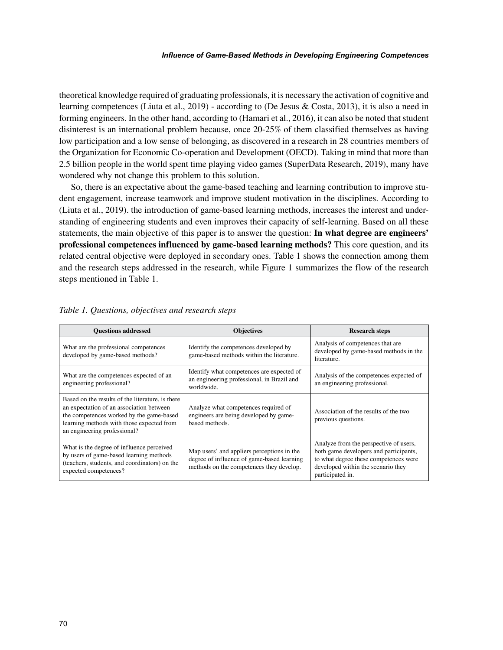#### *Influence of Game-Based Methods in Developing Engineering Competences*

theoretical knowledge required of graduating professionals, it is necessary the activation of cognitive and learning competences (Liuta et al., 2019) - according to (De Jesus & Costa, 2013), it is also a need in forming engineers. In the other hand, according to (Hamari et al., 2016), it can also be noted that student disinterest is an international problem because, once 20-25% of them classified themselves as having low participation and a low sense of belonging, as discovered in a research in 28 countries members of the Organization for Economic Co-operation and Development (OECD). Taking in mind that more than 2.5 billion people in the world spent time playing video games (SuperData Research, 2019), many have wondered why not change this problem to this solution.

So, there is an expectative about the game-based teaching and learning contribution to improve student engagement, increase teamwork and improve student motivation in the disciplines. According to (Liuta et al., 2019). the introduction of game-based learning methods, increases the interest and understanding of engineering students and even improves their capacity of self-learning. Based on all these statements, the main objective of this paper is to answer the question: **In what degree are engineers' professional competences influenced by game-based learning methods?** This core question, and its related central objective were deployed in secondary ones. Table 1 shows the connection among them and the research steps addressed in the research, while Figure 1 summarizes the flow of the research steps mentioned in Table 1.

| <b>Ouestions addressed</b>                                                                                                                                                                                            | <b>Objectives</b>                                                                                                                    | <b>Research steps</b>                                                                                                                                                               |
|-----------------------------------------------------------------------------------------------------------------------------------------------------------------------------------------------------------------------|--------------------------------------------------------------------------------------------------------------------------------------|-------------------------------------------------------------------------------------------------------------------------------------------------------------------------------------|
| What are the professional competences<br>developed by game-based methods?                                                                                                                                             | Identify the competences developed by<br>game-based methods within the literature.                                                   | Analysis of competences that are<br>developed by game-based methods in the<br>literature.                                                                                           |
| What are the competences expected of an<br>engineering professional?                                                                                                                                                  | Identify what competences are expected of<br>an engineering professional, in Brazil and<br>worldwide.                                | Analysis of the competences expected of<br>an engineering professional.                                                                                                             |
| Based on the results of the literature, is there<br>an expectation of an association between<br>the competences worked by the game-based<br>learning methods with those expected from<br>an engineering professional? | Analyze what competences required of<br>engineers are being developed by game-<br>based methods.                                     | Association of the results of the two<br>previous questions.                                                                                                                        |
| What is the degree of influence perceived<br>by users of game-based learning methods<br>(teachers, students, and coordinators) on the<br>expected competences?                                                        | Map users' and appliers perceptions in the<br>degree of influence of game-based learning<br>methods on the competences they develop. | Analyze from the perspective of users,<br>both game developers and participants,<br>to what degree these competences were<br>developed within the scenario they<br>participated in. |

#### *Table 1. Questions, objectives and research steps*